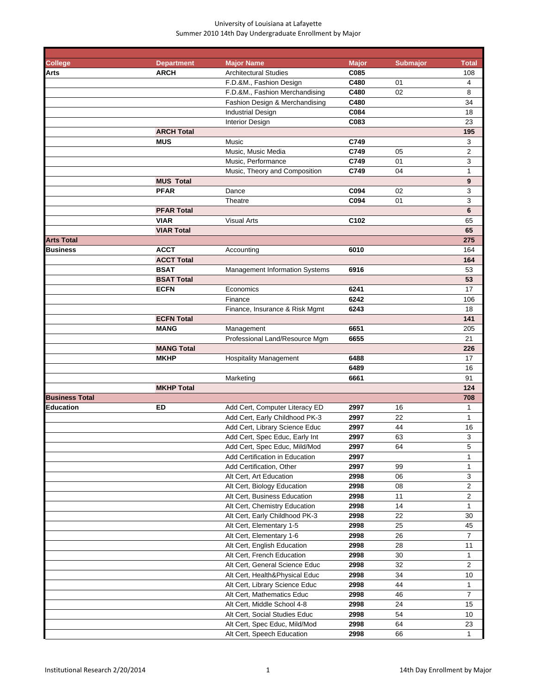| <b>College</b>        | <b>Department</b> | <b>Major Name</b>                     | <b>Major</b>     | Submajor | <b>Total</b>   |
|-----------------------|-------------------|---------------------------------------|------------------|----------|----------------|
| Arts                  | <b>ARCH</b>       | <b>Architectural Studies</b>          | C085             |          | 108            |
|                       |                   | F.D.&M., Fashion Design               | C480             | 01       | 4              |
|                       |                   | F.D.&M., Fashion Merchandising        | C480             | 02       | 8              |
|                       |                   | Fashion Design & Merchandising        | C480             |          | 34             |
|                       |                   | <b>Industrial Design</b>              | C084             |          | 18             |
|                       |                   | Interior Design                       | C083             |          | 23             |
|                       | <b>ARCH Total</b> |                                       |                  |          | 195            |
|                       | <b>MUS</b>        | Music                                 | C749             |          | 3              |
|                       |                   | Music, Music Media                    | C749             | 05       | $\overline{2}$ |
|                       |                   | Music, Performance                    | C749             | 01       | 3              |
|                       |                   | Music, Theory and Composition         | C749             | 04       | $\mathbf 1$    |
|                       | <b>MUS Total</b>  |                                       |                  |          | 9              |
|                       | <b>PFAR</b>       | Dance                                 | C094             | 02       | 3              |
|                       |                   | Theatre                               | C094             | 01       | 3              |
|                       | <b>PFAR Total</b> |                                       |                  |          | 6              |
|                       | <b>VIAR</b>       | <b>Visual Arts</b>                    | C <sub>102</sub> |          | 65             |
|                       | <b>VIAR Total</b> |                                       |                  |          | 65             |
| <b>Arts Total</b>     |                   |                                       |                  |          | 275            |
| Business              | <b>ACCT</b>       | Accounting                            | 6010             |          | 164            |
|                       | <b>ACCT Total</b> |                                       |                  |          | 164            |
|                       | <b>BSAT</b>       | <b>Management Information Systems</b> | 6916             |          | 53             |
|                       | <b>BSAT Total</b> |                                       |                  |          | 53             |
|                       | <b>ECFN</b>       | Economics                             | 6241             |          | 17             |
|                       |                   | Finance                               | 6242             |          | 106            |
|                       |                   | Finance, Insurance & Risk Mgmt        | 6243             |          | 18             |
|                       | <b>ECFN Total</b> |                                       |                  |          | 141            |
|                       | <b>MANG</b>       | Management                            | 6651             |          | 205            |
|                       |                   | Professional Land/Resource Mgm        | 6655             |          | 21             |
|                       | <b>MANG Total</b> |                                       |                  |          | 226            |
|                       | <b>MKHP</b>       | <b>Hospitality Management</b>         | 6488             |          | 17             |
|                       |                   |                                       | 6489             |          | 16             |
|                       |                   | Marketing                             | 6661             |          | 91             |
|                       | <b>MKHP Total</b> |                                       |                  |          | 124            |
| <b>Business Total</b> |                   |                                       |                  |          | 708            |
| Education             | ED                | Add Cert, Computer Literacy ED        | 2997             | 16       | 1              |
|                       |                   | Add Cert, Early Childhood PK-3        | 2997             | 22       | 1              |
|                       |                   | Add Cert, Library Science Educ        | 2997             | 44       | 16             |
|                       |                   | Add Cert, Spec Educ, Early Int        | 2997             | 63       | 3              |
|                       |                   | Add Cert, Spec Educ, Mild/Mod         | 2997             | 64       | 5              |
|                       |                   | Add Certification in Education        | 2997             |          | $\mathbf{1}$   |
|                       |                   | Add Certification, Other              | 2997             | 99       | $\mathbf{1}$   |
|                       |                   | Alt Cert, Art Education               | 2998             | 06       | 3              |
|                       |                   | Alt Cert, Biology Education           | 2998             | 08       | 2              |
|                       |                   | Alt Cert, Business Education          | 2998             | 11       | $\overline{c}$ |
|                       |                   | Alt Cert, Chemistry Education         | 2998             | 14       | 1              |
|                       |                   | Alt Cert, Early Childhood PK-3        | 2998             | 22       | 30             |
|                       |                   | Alt Cert, Elementary 1-5              | 2998             | 25       | 45             |
|                       |                   | Alt Cert, Elementary 1-6              | 2998             | 26       | $\overline{7}$ |
|                       |                   | Alt Cert, English Education           | 2998             | 28       | 11             |
|                       |                   | Alt Cert, French Education            | 2998             | 30       | 1              |
|                       |                   | Alt Cert, General Science Educ        | 2998             | 32       | $\overline{2}$ |
|                       |                   | Alt Cert, Health&Physical Educ        | 2998             | 34       | 10             |
|                       |                   | Alt Cert, Library Science Educ        | 2998             | 44       | 1              |
|                       |                   | Alt Cert, Mathematics Educ            | 2998             | 46       | 7              |
|                       |                   | Alt Cert, Middle School 4-8           | 2998             | 24       | 15             |
|                       |                   | Alt Cert, Social Studies Educ         | 2998             | 54       | 10             |
|                       |                   | Alt Cert, Spec Educ, Mild/Mod         | 2998             | 64       | 23             |
|                       |                   | Alt Cert, Speech Education            | 2998             | 66       | 1              |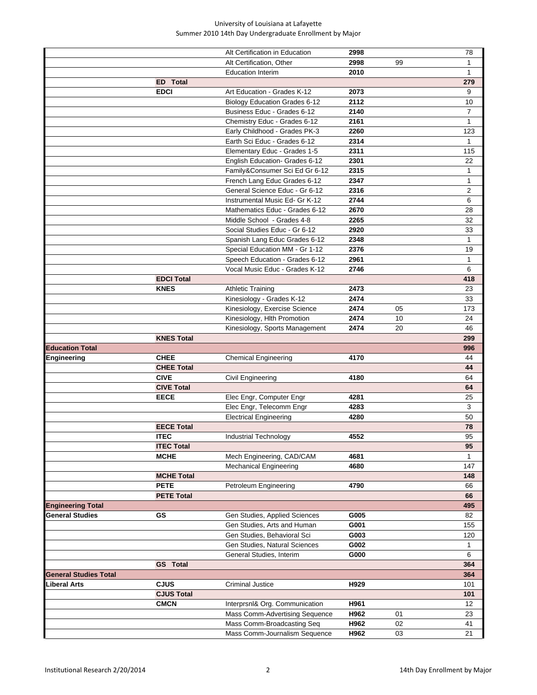|                              |                   | Alt Certification in Education                              | 2998         |          | 78             |
|------------------------------|-------------------|-------------------------------------------------------------|--------------|----------|----------------|
|                              |                   | Alt Certification, Other                                    | 2998         | 99       | 1              |
|                              |                   | <b>Education Interim</b>                                    | 2010         |          | $\mathbf{1}$   |
|                              | <b>ED</b> Total   |                                                             |              |          | 279            |
|                              | <b>EDCI</b>       | Art Education - Grades K-12                                 | 2073         |          | 9              |
|                              |                   | <b>Biology Education Grades 6-12</b>                        | 2112         |          | 10             |
|                              |                   | Business Educ - Grades 6-12                                 | 2140         |          | $\overline{7}$ |
|                              |                   | Chemistry Educ - Grades 6-12                                | 2161         |          | 1              |
|                              |                   | Early Childhood - Grades PK-3                               | 2260         |          | 123            |
|                              |                   | Earth Sci Educ - Grades 6-12                                | 2314         |          | 1              |
|                              |                   | Elementary Educ - Grades 1-5                                | 2311         |          | 115            |
|                              |                   | English Education- Grades 6-12                              | 2301         |          | 22             |
|                              |                   | Family&Consumer Sci Ed Gr 6-12                              | 2315         |          | $\mathbf{1}$   |
|                              |                   | French Lang Educ Grades 6-12                                | 2347         |          | $\mathbf{1}$   |
|                              |                   | General Science Educ - Gr 6-12                              | 2316         |          | $\overline{2}$ |
|                              |                   | Instrumental Music Ed- Gr K-12                              | 2744         |          | 6              |
|                              |                   | Mathematics Educ - Grades 6-12                              | 2670         |          | 28             |
|                              |                   | Middle School - Grades 4-8                                  | 2265         |          | 32             |
|                              |                   | Social Studies Educ - Gr 6-12                               | 2920         |          | 33             |
|                              |                   | Spanish Lang Educ Grades 6-12                               | 2348         |          | $\mathbf{1}$   |
|                              |                   | Special Education MM - Gr 1-12                              | 2376         |          | 19             |
|                              |                   | Speech Education - Grades 6-12                              | 2961         |          | 1              |
|                              |                   | Vocal Music Educ - Grades K-12                              | 2746         |          | 6              |
|                              | <b>EDCI Total</b> |                                                             |              |          | 418            |
|                              | <b>KNES</b>       | <b>Athletic Training</b>                                    | 2473         |          | 23             |
|                              |                   | Kinesiology - Grades K-12                                   | 2474         |          | 33             |
|                              |                   | Kinesiology, Exercise Science                               | 2474         | 05       | 173            |
|                              |                   | Kinesiology, Hlth Promotion                                 | 2474         | 10       | 24             |
|                              |                   | Kinesiology, Sports Management                              | 2474         | 20       | 46             |
|                              | <b>KNES Total</b> |                                                             |              |          | 299            |
| <b>Education Total</b>       |                   |                                                             |              |          | 996            |
| Engineering                  | <b>CHEE</b>       | <b>Chemical Engineering</b>                                 | 4170         |          | 44             |
|                              | <b>CHEE Total</b> |                                                             |              |          | 44             |
|                              | <b>CIVE</b>       | Civil Engineering                                           | 4180         |          | 64             |
|                              | <b>CIVE Total</b> |                                                             |              |          | 64             |
|                              | <b>EECE</b>       | Elec Engr, Computer Engr                                    | 4281         |          | 25             |
|                              |                   | Elec Engr, Telecomm Engr                                    | 4283         |          | 3              |
|                              |                   | <b>Electrical Engineering</b>                               | 4280         |          | 50             |
|                              | <b>EECE Total</b> |                                                             |              |          | 78             |
|                              |                   |                                                             |              |          |                |
|                              | <b>ITEC</b>       | Industrial Technology                                       | 4552         |          | 95             |
|                              | <b>ITEC Total</b> |                                                             |              |          | 95             |
|                              | <b>MCHE</b>       | Mech Engineering, CAD/CAM                                   | 4681         |          | 1              |
|                              |                   | <b>Mechanical Engineering</b>                               | 4680         |          | 147            |
|                              | <b>MCHE Total</b> |                                                             |              |          | 148            |
|                              | <b>PETE</b>       | Petroleum Engineering                                       | 4790         |          | 66             |
|                              | <b>PETE Total</b> |                                                             |              |          | 66             |
| <b>Engineering Total</b>     |                   |                                                             |              |          | 495            |
| <b>General Studies</b>       | GS                | Gen Studies, Applied Sciences                               | G005         |          | 82             |
|                              |                   | Gen Studies, Arts and Human                                 | G001         |          | 155            |
|                              |                   | Gen Studies, Behavioral Sci                                 | G003         |          | 120            |
|                              |                   | Gen Studies, Natural Sciences                               | G002         |          | 1              |
|                              |                   | General Studies, Interim                                    | G000         |          | 6              |
|                              | <b>GS</b> Total   |                                                             |              |          | 364            |
| <b>General Studies Total</b> |                   |                                                             |              |          | 364            |
| Liberal Arts                 | <b>CJUS</b>       | <b>Criminal Justice</b>                                     | H929         |          | 101            |
|                              | <b>CJUS Total</b> |                                                             |              |          | 101            |
|                              | <b>CMCN</b>       | Interprsnl& Org. Communication                              | H961         |          | 12             |
|                              |                   | Mass Comm-Advertising Sequence                              | H962         | 01       | 23             |
|                              |                   | Mass Comm-Broadcasting Seq<br>Mass Comm-Journalism Sequence | H962<br>H962 | 02<br>03 | 41<br>21       |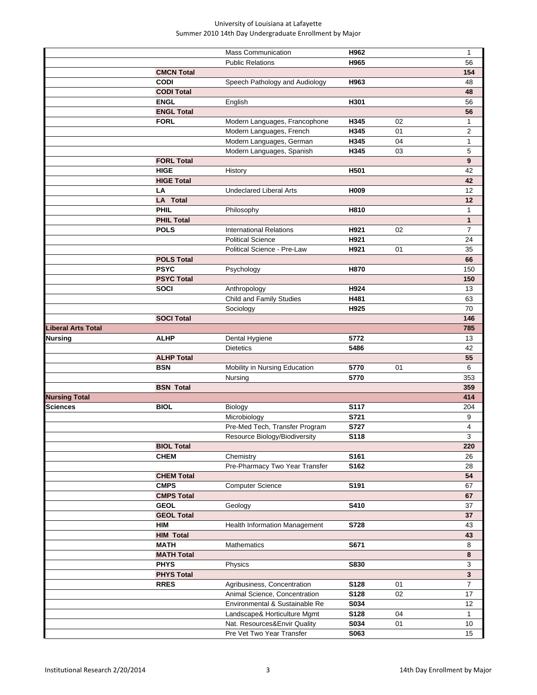|                      |                   | <b>Mass Communication</b>                                 | H962                |    | $\mathbf{1}$   |
|----------------------|-------------------|-----------------------------------------------------------|---------------------|----|----------------|
|                      |                   | <b>Public Relations</b>                                   | H965                |    | 56             |
|                      | <b>CMCN Total</b> |                                                           |                     |    | 154            |
|                      | <b>CODI</b>       | Speech Pathology and Audiology                            | H963                |    | 48             |
|                      | <b>CODI Total</b> |                                                           |                     |    | 48             |
|                      | <b>ENGL</b>       | English                                                   | H301                |    | 56             |
|                      | <b>ENGL Total</b> |                                                           |                     |    | 56             |
|                      | <b>FORL</b>       |                                                           |                     |    |                |
|                      |                   | Modern Languages, Francophone                             | H345                | 02 | 1              |
|                      |                   | Modern Languages, French                                  | H345                | 01 | 2              |
|                      |                   | Modern Languages, German                                  | H345                | 04 | $\mathbf{1}$   |
|                      |                   | Modern Languages, Spanish                                 | H345                | 03 | 5              |
|                      | <b>FORL Total</b> |                                                           |                     |    | 9              |
|                      | <b>HIGE</b>       | History                                                   | H501                |    | 42             |
|                      | <b>HIGE Total</b> |                                                           |                     |    | 42             |
|                      | LA                | <b>Undeclared Liberal Arts</b>                            | H009                |    | 12             |
|                      | <b>LA Total</b>   |                                                           |                     |    | 12             |
|                      | <b>PHIL</b>       | Philosophy                                                | H810                |    | 1              |
|                      | <b>PHIL Total</b> |                                                           |                     |    | $\mathbf{1}$   |
|                      | <b>POLS</b>       | <b>International Relations</b>                            | H921                | 02 | $\overline{7}$ |
|                      |                   | <b>Political Science</b>                                  | H921                |    | 24             |
|                      |                   | Political Science - Pre-Law                               | H921                | 01 | 35             |
|                      | <b>POLS Total</b> |                                                           |                     |    | 66             |
|                      | <b>PSYC</b>       | Psychology                                                | H870                |    | 150            |
|                      | <b>PSYC Total</b> |                                                           |                     |    | 150            |
|                      | <b>SOCI</b>       | Anthropology                                              | H924                |    | 13             |
|                      |                   | Child and Family Studies                                  | H481                |    | 63             |
|                      |                   | Sociology                                                 | H925                |    | 70             |
|                      | <b>SOCI Total</b> |                                                           |                     |    | 146            |
| Liberal Arts Total   |                   |                                                           |                     |    | 785            |
| Nursing              | <b>ALHP</b>       | Dental Hygiene                                            | 5772                |    | 13             |
|                      |                   | <b>Dietetics</b>                                          | 5486                |    | 42             |
|                      |                   |                                                           |                     |    |                |
|                      | <b>ALHP Total</b> |                                                           |                     |    | 55             |
|                      | <b>BSN</b>        |                                                           | 5770                | 01 | 6              |
|                      |                   | Mobility in Nursing Education                             | 5770                |    |                |
|                      | <b>BSN Total</b>  | Nursing                                                   |                     |    | 353<br>359     |
|                      |                   |                                                           |                     |    |                |
| <b>Nursing Total</b> |                   |                                                           |                     |    | 414            |
| <b>Sciences</b>      | <b>BIOL</b>       | Biology                                                   | <b>S117</b>         |    | 204            |
|                      |                   | Microbiology                                              | S721                |    | 9              |
|                      |                   | Pre-Med Tech, Transfer Program                            | S727                |    | 4              |
|                      |                   | Resource Biology/Biodiversity                             | S118                |    | 3              |
|                      | <b>BIOL Total</b> |                                                           |                     |    | 220            |
|                      | <b>CHEM</b>       | Chemistry                                                 | S161                |    | 26             |
|                      |                   | Pre-Pharmacy Two Year Transfer                            | S162                |    | 28             |
|                      | <b>CHEM Total</b> |                                                           |                     |    | 54             |
|                      | <b>CMPS</b>       | <b>Computer Science</b>                                   | S191                |    | 67             |
|                      | <b>CMPS Total</b> |                                                           |                     |    | 67             |
|                      | <b>GEOL</b>       | Geology                                                   | S410                |    | 37             |
|                      | <b>GEOL Total</b> |                                                           |                     |    | 37             |
|                      | <b>HIM</b>        | Health Information Management                             | S728                |    | 43             |
|                      | <b>HIM Total</b>  |                                                           |                     |    | 43             |
|                      | <b>MATH</b>       | Mathematics                                               | S671                |    | 8              |
|                      | <b>MATH Total</b> |                                                           |                     |    | 8              |
|                      | <b>PHYS</b>       | Physics                                                   | S830                |    | 3              |
|                      | <b>PHYS Total</b> |                                                           |                     |    | $\mathbf{3}$   |
|                      | <b>RRES</b>       | Agribusiness, Concentration                               | S128                | 01 | $\overline{7}$ |
|                      |                   | Animal Science, Concentration                             | <b>S128</b>         | 02 | 17             |
|                      |                   | Environmental & Sustainable Re                            | <b>S034</b>         |    | 12             |
|                      |                   | Landscape& Horticulture Mgmt                              | S128                | 04 | $\mathbf{1}$   |
|                      |                   | Nat. Resources&Envir Quality<br>Pre Vet Two Year Transfer | S034<br><b>S063</b> | 01 | 10<br>15       |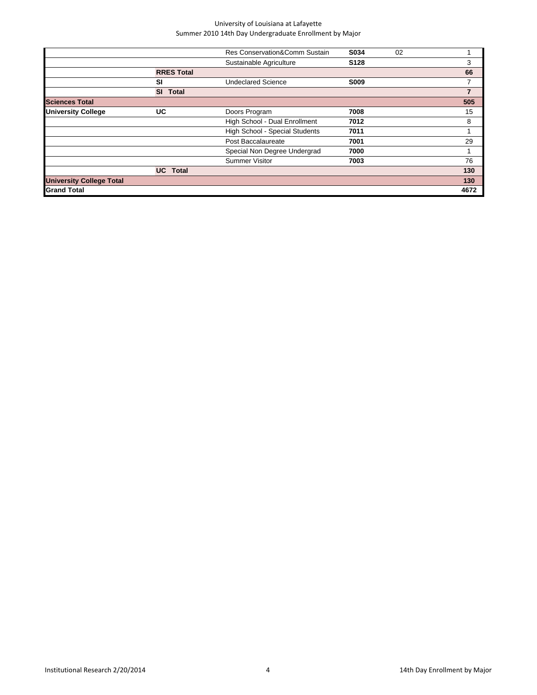|                           | Res Conservation&Comm Sustain  | S034             | 02 |                |
|---------------------------|--------------------------------|------------------|----|----------------|
|                           | Sustainable Agriculture        | S <sub>128</sub> |    | 3              |
| <b>RRES Total</b>         |                                |                  |    | 66             |
| SI                        | <b>Undeclared Science</b>      | <b>S009</b>      |    |                |
| <b>SI</b><br><b>Total</b> |                                |                  |    | $\overline{7}$ |
|                           |                                |                  |    | 505            |
| UC                        | Doors Program                  | 7008             |    | 15             |
|                           | High School - Dual Enrollment  | 7012             |    | 8              |
|                           | High School - Special Students | 7011             |    |                |
|                           | Post Baccalaureate             | 7001             |    | 29             |
|                           | Special Non Degree Undergrad   | 7000             |    |                |
|                           | <b>Summer Visitor</b>          | 7003             |    | 76             |
| <b>UC</b> Total           |                                |                  |    | 130            |
|                           |                                |                  |    | 130            |
|                           |                                |                  |    | 4672           |
|                           |                                |                  |    |                |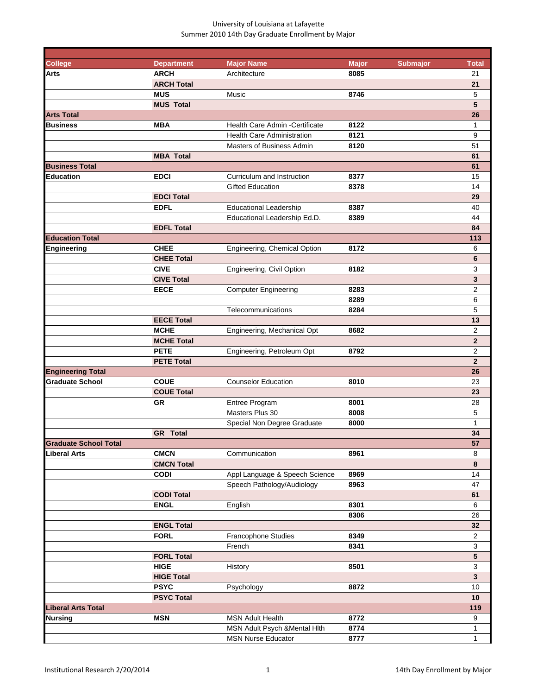| <b>College</b>               | <b>Department</b> | <b>Major Name</b>                 | <b>Major</b> | <b>Submajor</b> | <b>Total</b>            |
|------------------------------|-------------------|-----------------------------------|--------------|-----------------|-------------------------|
| Arts                         | <b>ARCH</b>       | Architecture                      | 8085         |                 | 21                      |
|                              | <b>ARCH Total</b> |                                   |              |                 | 21                      |
|                              | <b>MUS</b>        | Music                             | 8746         |                 | 5                       |
|                              | <b>MUS Total</b>  |                                   |              |                 | 5                       |
| <b>Arts Total</b>            |                   |                                   |              |                 | 26                      |
| <b>Business</b>              | <b>MBA</b>        | Health Care Admin - Certificate   | 8122         |                 | $\mathbf{1}$            |
|                              |                   | <b>Health Care Administration</b> | 8121         |                 | 9                       |
|                              |                   | <b>Masters of Business Admin</b>  | 8120         |                 | 51                      |
|                              | <b>MBA Total</b>  |                                   |              |                 | 61                      |
| <b>Business Total</b>        |                   |                                   |              |                 | 61                      |
| <b>Education</b>             | <b>EDCI</b>       | Curriculum and Instruction        | 8377         |                 | 15                      |
|                              |                   | <b>Gifted Education</b>           | 8378         |                 | 14                      |
|                              | <b>EDCI Total</b> |                                   |              |                 | 29                      |
|                              | <b>EDFL</b>       | <b>Educational Leadership</b>     | 8387         |                 | 40                      |
|                              |                   | Educational Leadership Ed.D.      | 8389         |                 | 44                      |
|                              | <b>EDFL Total</b> |                                   |              |                 | 84                      |
| <b>Education Total</b>       |                   |                                   |              |                 | 113                     |
| <b>Engineering</b>           | <b>CHEE</b>       | Engineering, Chemical Option      | 8172         |                 | 6                       |
|                              | <b>CHEE Total</b> |                                   |              |                 | 6                       |
|                              | <b>CIVE</b>       | Engineering, Civil Option         | 8182         |                 | 3                       |
|                              | <b>CIVE Total</b> |                                   |              |                 | 3                       |
|                              | <b>EECE</b>       | <b>Computer Engineering</b>       | 8283         |                 | $\overline{2}$          |
|                              |                   |                                   | 8289         |                 | 6                       |
|                              |                   | Telecommunications                | 8284         |                 | 5                       |
|                              | <b>EECE Total</b> |                                   |              |                 | 13                      |
|                              |                   |                                   |              |                 |                         |
|                              | <b>MCHE</b>       | Engineering, Mechanical Opt       | 8682         |                 | 2                       |
|                              | <b>MCHE Total</b> |                                   |              |                 | $\overline{2}$          |
|                              | <b>PETE</b>       | Engineering, Petroleum Opt        | 8792         |                 | $\overline{\mathbf{c}}$ |
|                              | <b>PETE Total</b> |                                   |              |                 | $\overline{2}$          |
| <b>Engineering Total</b>     |                   |                                   |              |                 | 26                      |
| <b>Graduate School</b>       | <b>COUE</b>       | <b>Counselor Education</b>        | 8010         |                 | 23                      |
|                              | <b>COUE Total</b> |                                   |              |                 | 23                      |
|                              | <b>GR</b>         | Entree Program                    | 8001         |                 | 28                      |
|                              |                   | Masters Plus 30                   | 8008         |                 | 5                       |
|                              |                   | Special Non Degree Graduate       | 8000         |                 | $\mathbf{1}$            |
|                              | <b>GR</b> Total   |                                   |              |                 | 34                      |
| <b>Graduate School Total</b> |                   |                                   |              |                 | 57                      |
| Liberal Arts                 | <b>CMCN</b>       | Communication                     | 8961         |                 | 8                       |
|                              | <b>CMCN Total</b> |                                   |              |                 | 8                       |
|                              | <b>CODI</b>       | Appl Language & Speech Science    | 8969         |                 | 14                      |
|                              |                   | Speech Pathology/Audiology        | 8963         |                 | 47                      |
|                              | <b>CODI Total</b> |                                   |              |                 | 61                      |
|                              | <b>ENGL</b>       | English                           | 8301         |                 | 6                       |
|                              |                   |                                   | 8306         |                 | 26                      |
|                              | <b>ENGL Total</b> |                                   |              |                 | 32                      |
|                              | <b>FORL</b>       | Francophone Studies               | 8349         |                 | $\mathbf 2$             |
|                              |                   | French                            | 8341         |                 | 3                       |
|                              | <b>FORL Total</b> |                                   |              |                 | $\overline{\mathbf{5}}$ |
|                              | <b>HIGE</b>       | History                           | 8501         |                 | $\mathbf{3}$            |
|                              |                   |                                   |              |                 |                         |
|                              | <b>HIGE Total</b> |                                   |              |                 | $\mathbf{3}$            |
|                              | <b>PSYC</b>       | Psychology                        | 8872         |                 | 10                      |
|                              | <b>PSYC Total</b> |                                   |              |                 | 10                      |
| <b>Liberal Arts Total</b>    |                   |                                   |              |                 | 119                     |
| Nursing                      | <b>MSN</b>        | <b>MSN Adult Health</b>           | 8772         |                 | 9                       |
|                              |                   | MSN Adult Psych & Mental Hith     | 8774         |                 | $\mathbf{1}$            |
|                              |                   | <b>MSN Nurse Educator</b>         | 8777         |                 | $\mathbf{1}$            |